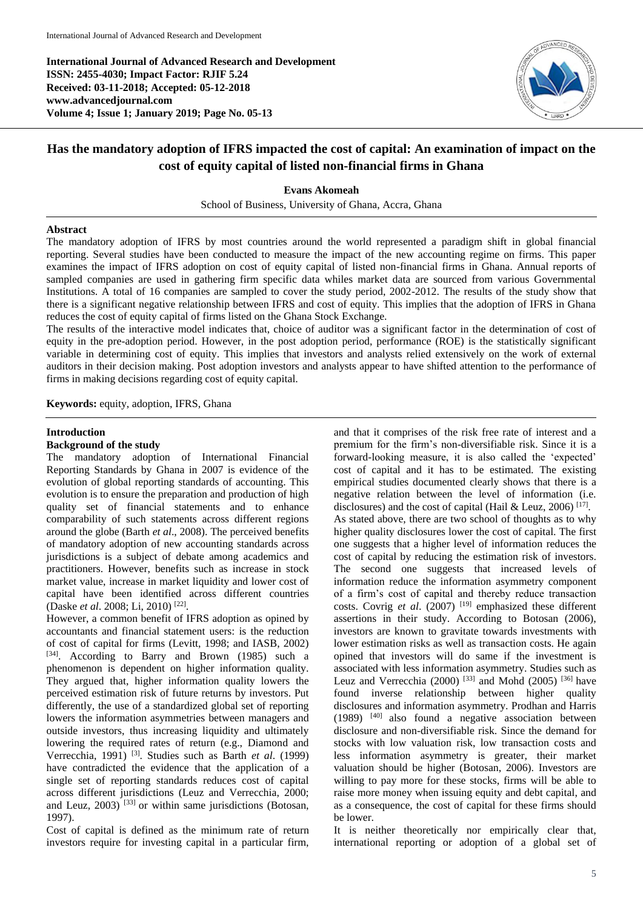**International Journal of Advanced Research and Development ISSN: 2455-4030; Impact Factor: RJIF 5.24 Received: 03-11-2018; Accepted: 05-12-2018 www.advancedjournal.com Volume 4; Issue 1; January 2019; Page No. 05-13**



# **Has the mandatory adoption of IFRS impacted the cost of capital: An examination of impact on the cost of equity capital of listed non-financial firms in Ghana**

**Evans Akomeah**

School of Business, University of Ghana, Accra, Ghana

#### **Abstract**

The mandatory adoption of IFRS by most countries around the world represented a paradigm shift in global financial reporting. Several studies have been conducted to measure the impact of the new accounting regime on firms. This paper examines the impact of IFRS adoption on cost of equity capital of listed non-financial firms in Ghana. Annual reports of sampled companies are used in gathering firm specific data whiles market data are sourced from various Governmental Institutions. A total of 16 companies are sampled to cover the study period, 2002-2012. The results of the study show that there is a significant negative relationship between IFRS and cost of equity. This implies that the adoption of IFRS in Ghana reduces the cost of equity capital of firms listed on the Ghana Stock Exchange.

The results of the interactive model indicates that, choice of auditor was a significant factor in the determination of cost of equity in the pre-adoption period. However, in the post adoption period, performance (ROE) is the statistically significant variable in determining cost of equity. This implies that investors and analysts relied extensively on the work of external auditors in their decision making. Post adoption investors and analysts appear to have shifted attention to the performance of firms in making decisions regarding cost of equity capital.

**Keywords:** equity, adoption, IFRS, Ghana

#### **Introduction**

#### **Background of the study**

The mandatory adoption of International Financial Reporting Standards by Ghana in 2007 is evidence of the evolution of global reporting standards of accounting. This evolution is to ensure the preparation and production of high quality set of financial statements and to enhance comparability of such statements across different regions around the globe (Barth *et al*., 2008). The perceived benefits of mandatory adoption of new accounting standards across jurisdictions is a subject of debate among academics and practitioners. However, benefits such as increase in stock market value, increase in market liquidity and lower cost of capital have been identified across different countries (Daske *et al.* 2008; Li, 2010)<sup>[22]</sup>.

However, a common benefit of IFRS adoption as opined by accountants and financial statement users: is the reduction of cost of capital for firms (Levitt, 1998; and IASB, 2002) [34]. According to Barry and Brown (1985) such a phenomenon is dependent on higher information quality. They argued that, higher information quality lowers the perceived estimation risk of future returns by investors. Put differently, the use of a standardized global set of reporting lowers the information asymmetries between managers and outside investors, thus increasing liquidity and ultimately lowering the required rates of return (e.g., Diamond and Verrecchia, 1991) [3]. Studies such as Barth *et al*. (1999) have contradicted the evidence that the application of a single set of reporting standards reduces cost of capital across different jurisdictions (Leuz and Verrecchia, 2000; and Leuz,  $2003$ )<sup>[33]</sup> or within same jurisdictions (Botosan, 1997).

Cost of capital is defined as the minimum rate of return investors require for investing capital in a particular firm,

and that it comprises of the risk free rate of interest and a premium for the firm's non-diversifiable risk. Since it is a forward-looking measure, it is also called the 'expected' cost of capital and it has to be estimated. The existing empirical studies documented clearly shows that there is a negative relation between the level of information (i.e. disclosures) and the cost of capital (Hail & Leuz, 2006)<sup>[17]</sup>. As stated above, there are two school of thoughts as to why higher quality disclosures lower the cost of capital. The first one suggests that a higher level of information reduces the cost of capital by reducing the estimation risk of investors. The second one suggests that increased levels of information reduce the information asymmetry component of a firm's cost of capital and thereby reduce transaction costs. Covrig et al. (2007) <sup>[19]</sup> emphasized these different assertions in their study. According to Botosan (2006), investors are known to gravitate towards investments with lower estimation risks as well as transaction costs. He again opined that investors will do same if the investment is associated with less information asymmetry. Studies such as Leuz and Verrecchia (2000)  $^{[33]}$  and Mohd (2005)  $^{[36]}$  have found inverse relationship between higher quality disclosures and information asymmetry. Prodhan and Harris  $(1989)$  <sup>[40]</sup> also found a negative association between disclosure and non-diversifiable risk. Since the demand for stocks with low valuation risk, low transaction costs and less information asymmetry is greater, their market valuation should be higher (Botosan, 2006). Investors are willing to pay more for these stocks, firms will be able to raise more money when issuing equity and debt capital, and as a consequence, the cost of capital for these firms should be lower.

It is neither theoretically nor empirically clear that, international reporting or adoption of a global set of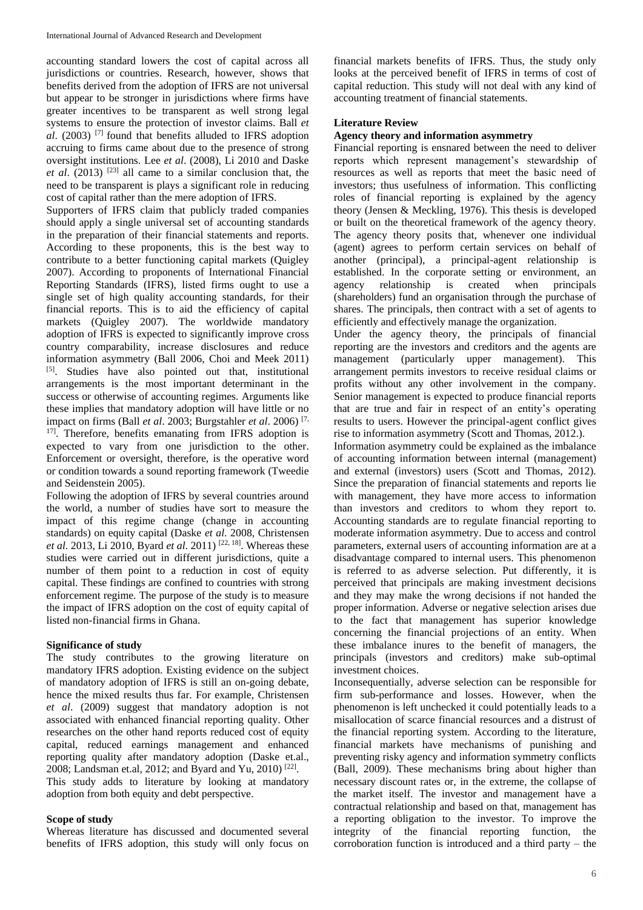accounting standard lowers the cost of capital across all jurisdictions or countries. Research, however, shows that benefits derived from the adoption of IFRS are not universal but appear to be stronger in jurisdictions where firms have greater incentives to be transparent as well strong legal systems to ensure the protection of investor claims. Ball *et al*. (2003) [7] found that benefits alluded to IFRS adoption accruing to firms came about due to the presence of strong oversight institutions. Lee *et al*. (2008), Li 2010 and Daske *et al*. (2013) [23] all came to a similar conclusion that, the need to be transparent is plays a significant role in reducing cost of capital rather than the mere adoption of IFRS.

Supporters of IFRS claim that publicly traded companies should apply a single universal set of accounting standards in the preparation of their financial statements and reports. According to these proponents, this is the best way to contribute to a better functioning capital markets (Quigley 2007). According to proponents of International Financial Reporting Standards (IFRS), listed firms ought to use a single set of high quality accounting standards, for their financial reports. This is to aid the efficiency of capital markets (Quigley 2007). The worldwide mandatory adoption of IFRS is expected to significantly improve cross country comparability, increase disclosures and reduce information asymmetry (Ball 2006, Choi and Meek 2011) [5]. Studies have also pointed out that, institutional arrangements is the most important determinant in the success or otherwise of accounting regimes. Arguments like these implies that mandatory adoption will have little or no impact on firms (Ball *et al*. 2003; Burgstahler *et al*. 2006) [7, <sup>17]</sup>. Therefore, benefits emanating from IFRS adoption is expected to vary from one jurisdiction to the other. Enforcement or oversight, therefore, is the operative word or condition towards a sound reporting framework (Tweedie and Seidenstein 2005).

Following the adoption of IFRS by several countries around the world, a number of studies have sort to measure the impact of this regime change (change in accounting standards) on equity capital (Daske *et al*. 2008, Christensen *et al.* 2013, Li 2010, Byard *et al.* 2011)<sup>[22, 18]</sup>. Whereas these studies were carried out in different jurisdictions, quite a number of them point to a reduction in cost of equity capital. These findings are confined to countries with strong enforcement regime. The purpose of the study is to measure the impact of IFRS adoption on the cost of equity capital of listed non-financial firms in Ghana.

## **Significance of study**

The study contributes to the growing literature on mandatory IFRS adoption. Existing evidence on the subject of mandatory adoption of IFRS is still an on-going debate, hence the mixed results thus far. For example, Christensen *et al*. (2009) suggest that mandatory adoption is not associated with enhanced financial reporting quality. Other researches on the other hand reports reduced cost of equity capital, reduced earnings management and enhanced reporting quality after mandatory adoption (Daske et.al., 2008; Landsman et.al, 2012; and Byard and Yu, 2010)<sup>[22]</sup>. This study adds to literature by looking at mandatory adoption from both equity and debt perspective.

#### **Scope of study**

Whereas literature has discussed and documented several benefits of IFRS adoption, this study will only focus on

financial markets benefits of IFRS. Thus, the study only looks at the perceived benefit of IFRS in terms of cost of capital reduction. This study will not deal with any kind of accounting treatment of financial statements.

#### **Literature Review**

## **Agency theory and information asymmetry**

Financial reporting is ensnared between the need to deliver reports which represent management's stewardship of resources as well as reports that meet the basic need of investors; thus usefulness of information. This conflicting roles of financial reporting is explained by the agency theory (Jensen & Meckling, 1976). This thesis is developed or built on the theoretical framework of the agency theory. The agency theory posits that, whenever one individual (agent) agrees to perform certain services on behalf of another (principal), a principal-agent relationship is established. In the corporate setting or environment, an agency relationship is created when principals (shareholders) fund an organisation through the purchase of shares. The principals, then contract with a set of agents to efficiently and effectively manage the organization.

Under the agency theory, the principals of financial reporting are the investors and creditors and the agents are management (particularly upper management). This arrangement permits investors to receive residual claims or profits without any other involvement in the company. Senior management is expected to produce financial reports that are true and fair in respect of an entity's operating results to users. However the principal-agent conflict gives rise to information asymmetry (Scott and Thomas, 2012.).

Information asymmetry could be explained as the imbalance of accounting information between internal (management) and external (investors) users (Scott and Thomas, 2012). Since the preparation of financial statements and reports lie with management, they have more access to information than investors and creditors to whom they report to. Accounting standards are to regulate financial reporting to moderate information asymmetry. Due to access and control parameters, external users of accounting information are at a disadvantage compared to internal users. This phenomenon is referred to as adverse selection. Put differently, it is perceived that principals are making investment decisions and they may make the wrong decisions if not handed the proper information. Adverse or negative selection arises due to the fact that management has superior knowledge concerning the financial projections of an entity. When these imbalance inures to the benefit of managers, the principals (investors and creditors) make sub-optimal investment choices.

Inconsequentially, adverse selection can be responsible for firm sub-performance and losses. However, when the phenomenon is left unchecked it could potentially leads to a misallocation of scarce financial resources and a distrust of the financial reporting system. According to the literature, financial markets have mechanisms of punishing and preventing risky agency and information symmetry conflicts (Ball, 2009). These mechanisms bring about higher than necessary discount rates or, in the extreme, the collapse of the market itself. The investor and management have a contractual relationship and based on that, management has a reporting obligation to the investor. To improve the integrity of the financial reporting function, the corroboration function is introduced and a third party – the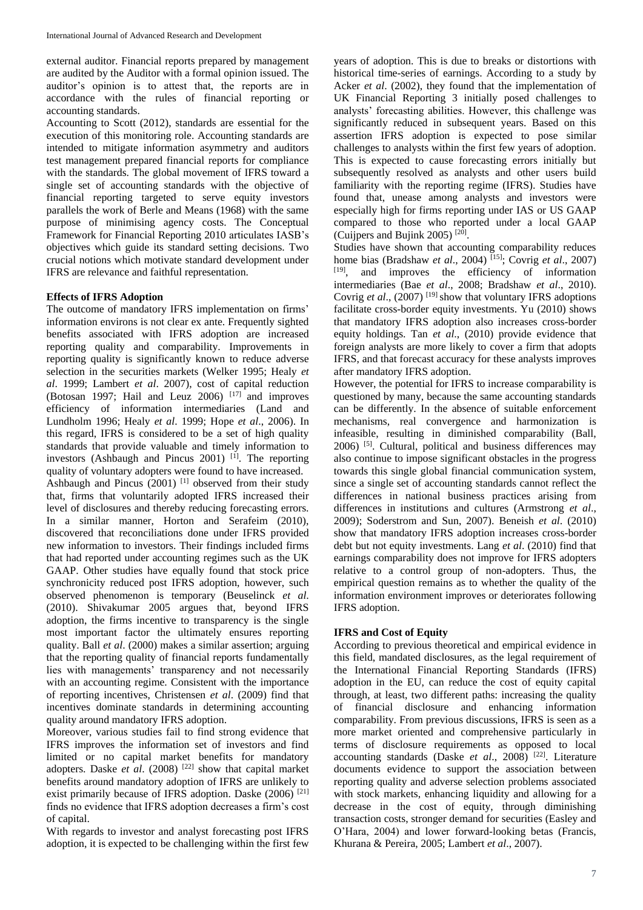external auditor. Financial reports prepared by management are audited by the Auditor with a formal opinion issued. The auditor's opinion is to attest that, the reports are in accordance with the rules of financial reporting or accounting standards.

Accounting to Scott (2012), standards are essential for the execution of this monitoring role. Accounting standards are intended to mitigate information asymmetry and auditors test management prepared financial reports for compliance with the standards. The global movement of IFRS toward a single set of accounting standards with the objective of financial reporting targeted to serve equity investors parallels the work of Berle and Means (1968) with the same purpose of minimising agency costs. The Conceptual Framework for Financial Reporting 2010 articulates IASB's objectives which guide its standard setting decisions. Two crucial notions which motivate standard development under IFRS are relevance and faithful representation.

## **Effects of IFRS Adoption**

The outcome of mandatory IFRS implementation on firms' information environs is not clear ex ante. Frequently sighted benefits associated with IFRS adoption are increased reporting quality and comparability. Improvements in reporting quality is significantly known to reduce adverse selection in the securities markets (Welker 1995; Healy *et al*. 1999; Lambert *et al*. 2007), cost of capital reduction (Botosan 1997; Hail and Leuz 2006)<sup>[17]</sup> and improves efficiency of information intermediaries (Land and Lundholm 1996; Healy *et al*. 1999; Hope *et al*., 2006). In this regard, IFRS is considered to be a set of high quality standards that provide valuable and timely information to investors (Ashbaugh and Pincus 2001)  $[1]$ . The reporting quality of voluntary adopters were found to have increased. Ashbaugh and Pincus (2001)<sup>[1]</sup> observed from their study that, firms that voluntarily adopted IFRS increased their level of disclosures and thereby reducing forecasting errors. In a similar manner, Horton and Serafeim (2010), discovered that reconciliations done under IFRS provided new information to investors. Their findings included firms that had reported under accounting regimes such as the UK GAAP. Other studies have equally found that stock price synchronicity reduced post IFRS adoption, however, such observed phenomenon is temporary (Beuselinck *et al*. (2010). Shivakumar 2005 argues that, beyond IFRS adoption, the firms incentive to transparency is the single most important factor the ultimately ensures reporting quality. Ball *et al*. (2000) makes a similar assertion; arguing that the reporting quality of financial reports fundamentally lies with managements' transparency and not necessarily with an accounting regime. Consistent with the importance of reporting incentives, Christensen *et al*. (2009) find that incentives dominate standards in determining accounting quality around mandatory IFRS adoption.

Moreover, various studies fail to find strong evidence that IFRS improves the information set of investors and find limited or no capital market benefits for mandatory adopters. Daske *et al*. (2008) [22] show that capital market benefits around mandatory adoption of IFRS are unlikely to exist primarily because of IFRS adoption. Daske (2006) <sup>[21]</sup> finds no evidence that IFRS adoption decreases a firm's cost of capital.

With regards to investor and analyst forecasting post IFRS adoption, it is expected to be challenging within the first few

years of adoption. This is due to breaks or distortions with historical time-series of earnings. According to a study by Acker *et al*. (2002), they found that the implementation of UK Financial Reporting 3 initially posed challenges to analysts' forecasting abilities. However, this challenge was significantly reduced in subsequent years. Based on this assertion IFRS adoption is expected to pose similar challenges to analysts within the first few years of adoption. This is expected to cause forecasting errors initially but subsequently resolved as analysts and other users build familiarity with the reporting regime (IFRS). Studies have found that, unease among analysts and investors were especially high for firms reporting under IAS or US GAAP compared to those who reported under a local GAAP (Cuijpers and Bujink 2005) [20] .

Studies have shown that accounting comparability reduces home bias (Bradshaw *et al*., 2004) [15]; Covrig *et al*., 2007) [19], and improves the efficiency of information intermediaries (Bae *et al*., 2008; Bradshaw *et al*., 2010). Covrig *et al.*, (2007)<sup>[19]</sup> show that voluntary IFRS adoptions facilitate cross-border equity investments. Yu (2010) shows that mandatory IFRS adoption also increases cross-border equity holdings. Tan *et al*., (2010) provide evidence that foreign analysts are more likely to cover a firm that adopts IFRS, and that forecast accuracy for these analysts improves after mandatory IFRS adoption.

However, the potential for IFRS to increase comparability is questioned by many, because the same accounting standards can be differently. In the absence of suitable enforcement mechanisms, real convergence and harmonization is infeasible, resulting in diminished comparability (Ball,  $2006$ ) <sup>[5]</sup>. Cultural, political and business differences may also continue to impose significant obstacles in the progress towards this single global financial communication system, since a single set of accounting standards cannot reflect the differences in national business practices arising from differences in institutions and cultures (Armstrong *et al*., 2009); Soderstrom and Sun, 2007). Beneish *et al*. (2010) show that mandatory IFRS adoption increases cross-border debt but not equity investments. Lang *et al*. (2010) find that earnings comparability does not improve for IFRS adopters relative to a control group of non-adopters. Thus, the empirical question remains as to whether the quality of the information environment improves or deteriorates following IFRS adoption.

## **IFRS and Cost of Equity**

According to previous theoretical and empirical evidence in this field, mandated disclosures, as the legal requirement of the International Financial Reporting Standards (IFRS) adoption in the EU, can reduce the cost of equity capital through, at least, two different paths: increasing the quality of financial disclosure and enhancing information comparability. From previous discussions, IFRS is seen as a more market oriented and comprehensive particularly in terms of disclosure requirements as opposed to local accounting standards (Daske *et al*., 2008) [22]. Literature documents evidence to support the association between reporting quality and adverse selection problems associated with stock markets, enhancing liquidity and allowing for a decrease in the cost of equity, through diminishing transaction costs, stronger demand for securities (Easley and O'Hara, 2004) and lower forward-looking betas (Francis, Khurana & Pereira, 2005; Lambert *et al*., 2007).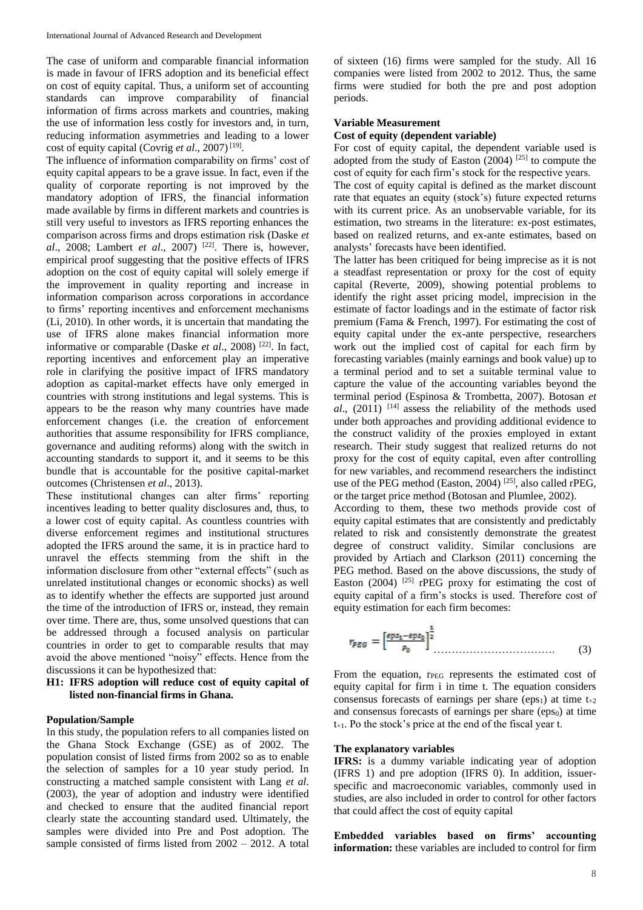The case of uniform and comparable financial information is made in favour of IFRS adoption and its beneficial effect on cost of equity capital. Thus, a uniform set of accounting standards can improve comparability of financial information of firms across markets and countries, making the use of information less costly for investors and, in turn, reducing information asymmetries and leading to a lower cost of equity capital (Covrig *et al.*, 2007)<sup>[19]</sup>.

The influence of information comparability on firms' cost of equity capital appears to be a grave issue. In fact, even if the quality of corporate reporting is not improved by the mandatory adoption of IFRS, the financial information made available by firms in different markets and countries is still very useful to investors as IFRS reporting enhances the comparison across firms and drops estimation risk (Daske *et al*., 2008; Lambert *et al*., 2007) [22]. There is, however, empirical proof suggesting that the positive effects of IFRS adoption on the cost of equity capital will solely emerge if the improvement in quality reporting and increase in information comparison across corporations in accordance to firms' reporting incentives and enforcement mechanisms (Li, 2010). In other words, it is uncertain that mandating the use of IFRS alone makes financial information more informative or comparable (Daske *et al*., 2008) [22]. In fact, reporting incentives and enforcement play an imperative role in clarifying the positive impact of IFRS mandatory adoption as capital-market effects have only emerged in countries with strong institutions and legal systems. This is appears to be the reason why many countries have made enforcement changes (i.e. the creation of enforcement authorities that assume responsibility for IFRS compliance, governance and auditing reforms) along with the switch in accounting standards to support it, and it seems to be this bundle that is accountable for the positive capital-market outcomes (Christensen *et al*., 2013).

These institutional changes can alter firms' reporting incentives leading to better quality disclosures and, thus, to a lower cost of equity capital. As countless countries with diverse enforcement regimes and institutional structures adopted the IFRS around the same, it is in practice hard to unravel the effects stemming from the shift in the information disclosure from other "external effects" (such as unrelated institutional changes or economic shocks) as well as to identify whether the effects are supported just around the time of the introduction of IFRS or, instead, they remain over time. There are, thus, some unsolved questions that can be addressed through a focused analysis on particular countries in order to get to comparable results that may avoid the above mentioned "noisy" effects. Hence from the discussions it can be hypothesized that:

#### **H1: IFRS adoption will reduce cost of equity capital of listed non-financial firms in Ghana.**

#### **Population/Sample**

In this study, the population refers to all companies listed on the Ghana Stock Exchange (GSE) as of 2002. The population consist of listed firms from 2002 so as to enable the selection of samples for a 10 year study period. In constructing a matched sample consistent with Lang *et al*. (2003), the year of adoption and industry were identified and checked to ensure that the audited financial report clearly state the accounting standard used. Ultimately, the samples were divided into Pre and Post adoption. The sample consisted of firms listed from 2002 – 2012. A total of sixteen (16) firms were sampled for the study. All 16 companies were listed from 2002 to 2012. Thus, the same firms were studied for both the pre and post adoption periods.

#### **Variable Measurement**

#### **Cost of equity (dependent variable)**

For cost of equity capital, the dependent variable used is adopted from the study of Easton  $(2004)$  [25] to compute the cost of equity for each firm's stock for the respective years.

The cost of equity capital is defined as the market discount rate that equates an equity (stock's) future expected returns with its current price. As an unobservable variable, for its estimation, two streams in the literature: ex-post estimates, based on realized returns, and ex-ante estimates, based on analysts' forecasts have been identified.

The latter has been critiqued for being imprecise as it is not a steadfast representation or proxy for the cost of equity capital (Reverte, 2009), showing potential problems to identify the right asset pricing model, imprecision in the estimate of factor loadings and in the estimate of factor risk premium (Fama & French, 1997). For estimating the cost of equity capital under the ex-ante perspective, researchers work out the implied cost of capital for each firm by forecasting variables (mainly earnings and book value) up to a terminal period and to set a suitable terminal value to capture the value of the accounting variables beyond the terminal period (Espinosa & Trombetta, 2007). Botosan *et*   $al$ ,  $(2011)$  <sup>[14]</sup> assess the reliability of the methods used under both approaches and providing additional evidence to the construct validity of the proxies employed in extant research. Their study suggest that realized returns do not proxy for the cost of equity capital, even after controlling for new variables, and recommend researchers the indistinct use of the PEG method (Easton, 2004)  $^{[25]}$ , also called rPEG, or the target price method (Botosan and Plumlee, 2002).

According to them, these two methods provide cost of equity capital estimates that are consistently and predictably related to risk and consistently demonstrate the greatest degree of construct validity. Similar conclusions are provided by Artiach and Clarkson (2011) concerning the PEG method. Based on the above discussions, the study of Easton (2004)  $^{[25]}$  rPEG proxy for estimating the cost of equity capital of a firm's stocks is used. Therefore cost of equity estimation for each firm becomes:

$$
r_{PEG} = \left[\frac{eps_1 - eps_0}{p_0}\right]^{\frac{1}{2}}.\tag{3}
$$

From the equation, rPEG represents the estimated cost of equity capital for firm i in time t. The equation considers consensus forecasts of earnings per share (eps<sub>1</sub>) at time  $t_{+2}$ and consensus forecasts of earnings per share (eps $<sub>0</sub>$ ) at time</sub>  $t_{+1}$ . Po the stock's price at the end of the fiscal year t.

#### **The explanatory variables**

IFRS: is a dummy variable indicating year of adoption (IFRS 1) and pre adoption (IFRS 0). In addition, issuerspecific and macroeconomic variables, commonly used in studies, are also included in order to control for other factors that could affect the cost of equity capital

**Embedded variables based on firms' accounting information:** these variables are included to control for firm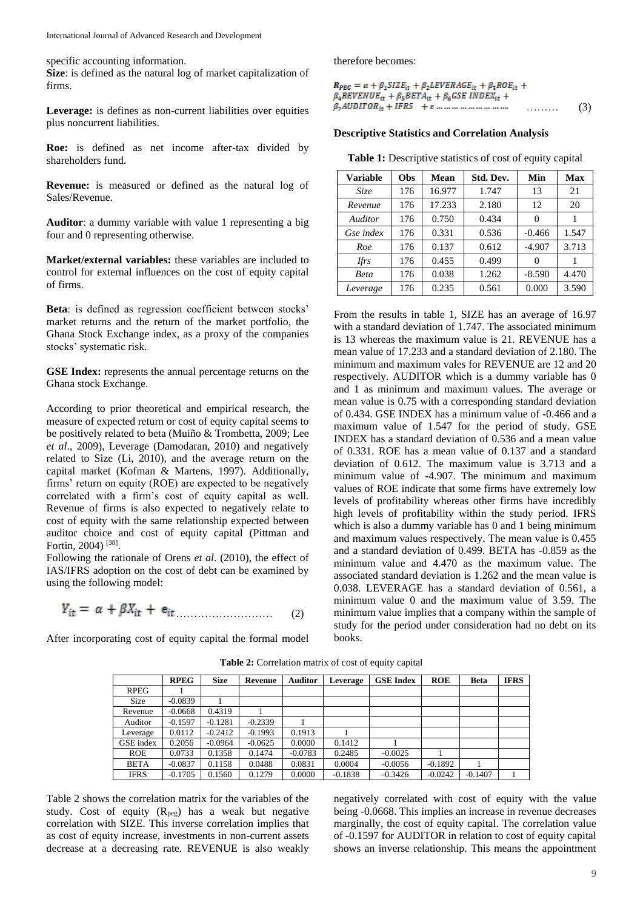specific accounting information.

**Size**: is defined as the natural log of market capitalization of firms.

**Leverage:** is defines as non-current liabilities over equities plus noncurrent liabilities.

**Roe:** is defined as net income after-tax divided by shareholders fund.

**Revenue:** is measured or defined as the natural log of Sales/Revenue.

**Auditor**: a dummy variable with value 1 representing a big four and 0 representing otherwise.

**Market/external variables:** these variables are included to control for external influences on the cost of equity capital of firms.

**Beta**: is defined as regression coefficient between stocks' market returns and the return of the market portfolio, the Ghana Stock Exchange index, as a proxy of the companies stocks' systematic risk.

**GSE Index:** represents the annual percentage returns on the Ghana stock Exchange.

According to prior theoretical and empirical research, the measure of expected return or cost of equity capital seems to be positively related to beta (Muiño & Trombetta, 2009; Lee *et al*., 2009), Leverage (Damodaran, 2010) and negatively related to Size (Li, 2010), and the average return on the capital market (Kofman & Martens, 1997). Additionally, firms' return on equity (ROE) are expected to be negatively correlated with a firm's cost of equity capital as well. Revenue of firms is also expected to negatively relate to cost of equity with the same relationship expected between auditor choice and cost of equity capital (Pittman and Fortin, 2004)<sup>[38]</sup>.

Following the rationale of Orens *et al*. (2010), the effect of IAS/IFRS adoption on the cost of debt can be examined by using the following model:

$$
Y_{it} = \alpha + \beta X_{it} + e_{it} \tag{2}
$$

After incorporating cost of equity capital the formal model

therefore becomes:

| $R_{PRG} = \alpha + \beta_1 SIZE_{it} + \beta_2 LEVERAGE_{it} + \beta_2 ROE_{it} +$                  |     |
|------------------------------------------------------------------------------------------------------|-----|
| $\beta_4$ REVENUE <sub>it</sub> + $\beta_5$ BETA <sub>it</sub> + $\beta_6$ GSE INDEX <sub>it</sub> + |     |
| $\beta_7 A U D I T O R_{ir} + I F R S$ + $\varepsilon$<br>.                                          | (3) |

#### **Descriptive Statistics and Correlation Analysis**

Table 1: Descriptive statistics of cost of equity capital

| <b>Variable</b> | Obs | Mean   | Std. Dev. | Min      | <b>Max</b> |
|-----------------|-----|--------|-----------|----------|------------|
| Size            | 176 | 16.977 | 1.747     | 13       | 21         |
| Revenue         | 176 | 17.233 | 2.180     | 12       | 20         |
| Auditor         | 176 | 0.750  | 0.434     | 0        |            |
| Gse index       | 176 | 0.331  | 0.536     | $-0.466$ | 1.547      |
| Roe             | 176 | 0.137  | 0.612     | $-4.907$ | 3.713      |
| <b>Ifrs</b>     | 176 | 0.455  | 0.499     | $\theta$ |            |
| Beta            | 176 | 0.038  | 1.262     | $-8.590$ | 4.470      |
| Leverage        | 176 | 0.235  | 0.561     | 0.000    | 3.590      |

From the results in table 1, SIZE has an average of 16.97 with a standard deviation of 1.747. The associated minimum is 13 whereas the maximum value is 21. REVENUE has a mean value of 17.233 and a standard deviation of 2.180. The minimum and maximum vales for REVENUE are 12 and 20 respectively. AUDITOR which is a dummy variable has 0 and 1 as minimum and maximum values. The average or mean value is 0.75 with a corresponding standard deviation of 0.434. GSE INDEX has a minimum value of -0.466 and a maximum value of 1.547 for the period of study. GSE INDEX has a standard deviation of 0.536 and a mean value of 0.331. ROE has a mean value of 0.137 and a standard deviation of 0.612. The maximum value is 3.713 and a minimum value of -4.907. The minimum and maximum values of ROE indicate that some firms have extremely low levels of profitability whereas other firms have incredibly high levels of profitability within the study period. IFRS which is also a dummy variable has 0 and 1 being minimum and maximum values respectively. The mean value is 0.455 and a standard deviation of 0.499. BETA has -0.859 as the minimum value and 4.470 as the maximum value. The associated standard deviation is 1.262 and the mean value is 0.038. LEVERAGE has a standard deviation of 0.561, a minimum value 0 and the maximum value of 3.59. The minimum value implies that a company within the sample of study for the period under consideration had no debt on its books.

|             | <b>RPEG</b> | <b>Size</b> | Revenue   | <b>Auditor</b> | Leverage  | <b>GSE Index</b> | <b>ROE</b> | Beta      | <b>IFRS</b> |
|-------------|-------------|-------------|-----------|----------------|-----------|------------------|------------|-----------|-------------|
| <b>RPEG</b> |             |             |           |                |           |                  |            |           |             |
| <b>Size</b> | $-0.0839$   |             |           |                |           |                  |            |           |             |
| Revenue     | $-0.0668$   | 0.4319      |           |                |           |                  |            |           |             |
| Auditor     | $-0.1597$   | $-0.1281$   | $-0.2339$ |                |           |                  |            |           |             |
| Leverage    | 0.0112      | $-0.2412$   | $-0.1993$ | 0.1913         |           |                  |            |           |             |
| GSE index   | 0.2056      | $-0.0964$   | $-0.0625$ | 0.0000         | 0.1412    |                  |            |           |             |
| <b>ROE</b>  | 0.0733      | 0.1358      | 0.1474    | $-0.0783$      | 0.2485    | $-0.0025$        |            |           |             |
| <b>BETA</b> | $-0.0837$   | 0.1158      | 0.0488    | 0.0831         | 0.0004    | $-0.0056$        | $-0.1892$  |           |             |
| <b>IFRS</b> | $-0.1705$   | 0.1560      | 0.1279    | 0.0000         | $-0.1838$ | $-0.3426$        | $-0.0242$  | $-0.1407$ |             |

**Table 2:** Correlation matrix of cost of equity capital

Table 2 shows the correlation matrix for the variables of the study. Cost of equity  $(R_{\text{peg}})$  has a weak but negative correlation with SIZE. This inverse correlation implies that as cost of equity increase, investments in non-current assets decrease at a decreasing rate. REVENUE is also weakly

negatively correlated with cost of equity with the value being -0.0668. This implies an increase in revenue decreases marginally, the cost of equity capital. The correlation value of -0.1597 for AUDITOR in relation to cost of equity capital shows an inverse relationship. This means the appointment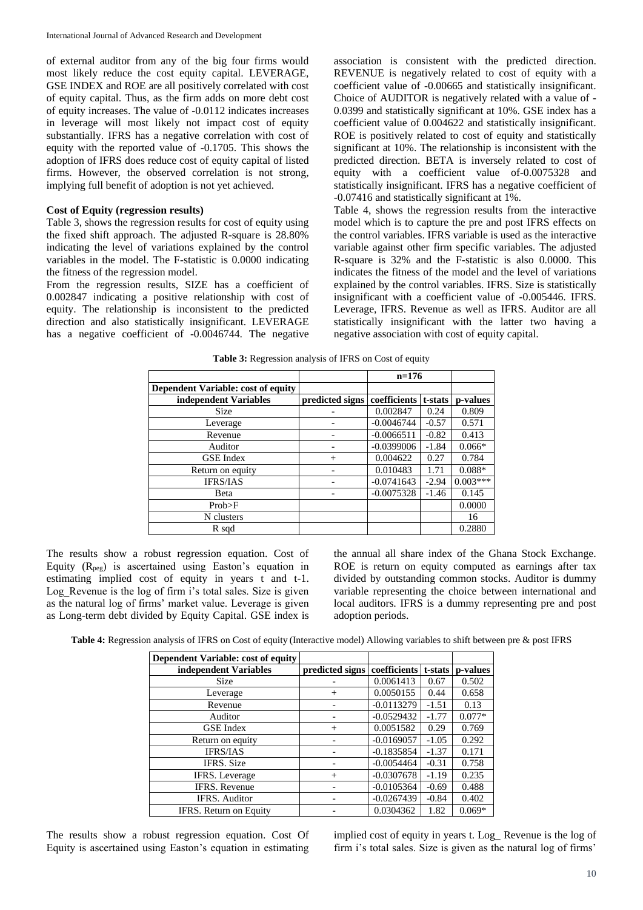of external auditor from any of the big four firms would most likely reduce the cost equity capital. LEVERAGE, GSE INDEX and ROE are all positively correlated with cost of equity capital. Thus, as the firm adds on more debt cost of equity increases. The value of -0.0112 indicates increases in leverage will most likely not impact cost of equity substantially. IFRS has a negative correlation with cost of equity with the reported value of -0.1705. This shows the adoption of IFRS does reduce cost of equity capital of listed firms. However, the observed correlation is not strong, implying full benefit of adoption is not yet achieved.

## **Cost of Equity (regression results)**

Table 3, shows the regression results for cost of equity using the fixed shift approach. The adjusted R-square is 28.80% indicating the level of variations explained by the control variables in the model. The F-statistic is 0.0000 indicating the fitness of the regression model.

From the regression results, SIZE has a coefficient of 0.002847 indicating a positive relationship with cost of equity. The relationship is inconsistent to the predicted direction and also statistically insignificant. LEVERAGE has a negative coefficient of -0.0046744. The negative

association is consistent with the predicted direction. REVENUE is negatively related to cost of equity with a coefficient value of -0.00665 and statistically insignificant. Choice of AUDITOR is negatively related with a value of - 0.0399 and statistically significant at 10%. GSE index has a coefficient value of 0.004622 and statistically insignificant. ROE is positively related to cost of equity and statistically significant at 10%. The relationship is inconsistent with the predicted direction. BETA is inversely related to cost of equity with a coefficient value of-0.0075328 and statistically insignificant. IFRS has a negative coefficient of -0.07416 and statistically significant at 1%.

Table 4, shows the regression results from the interactive model which is to capture the pre and post IFRS effects on the control variables. IFRS variable is used as the interactive variable against other firm specific variables. The adjusted R-square is 32% and the F-statistic is also 0.0000. This indicates the fitness of the model and the level of variations explained by the control variables. IFRS. Size is statistically insignificant with a coefficient value of -0.005446. IFRS. Leverage, IFRS. Revenue as well as IFRS. Auditor are all statistically insignificant with the latter two having a negative association with cost of equity capital.

|                                           |                 | $n=176$      |         |            |
|-------------------------------------------|-----------------|--------------|---------|------------|
| <b>Dependent Variable: cost of equity</b> |                 |              |         |            |
| independent Variables                     | predicted signs | coefficients | t-stats | p-values   |
| <b>Size</b>                               |                 | 0.002847     | 0.24    | 0.809      |
| Leverage                                  |                 | $-0.0046744$ | $-0.57$ | 0.571      |
| Revenue                                   |                 | $-0.0066511$ | $-0.82$ | 0.413      |
| Auditor                                   |                 | $-0.0399006$ | $-1.84$ | $0.066*$   |
| <b>GSE</b> Index                          | $^{+}$          | 0.004622     | 0.27    | 0.784      |
| Return on equity                          |                 | 0.010483     | 1.71    | $0.088*$   |
| <b>IFRS/IAS</b>                           |                 | $-0.0741643$ | $-2.94$ | $0.003***$ |
| <b>Beta</b>                               |                 | $-0.0075328$ | $-1.46$ | 0.145      |
| Prob>F                                    |                 |              |         | 0.0000     |
| N clusters                                |                 |              |         | 16         |
| R sqd                                     |                 |              |         | 0.2880     |

**Table 3:** Regression analysis of IFRS on Cost of equity

The results show a robust regression equation. Cost of Equity  $(R_{\text{peg}})$  is ascertained using Easton's equation in estimating implied cost of equity in years t and t-1. Log Revenue is the log of firm i's total sales. Size is given as the natural log of firms' market value. Leverage is given as Long-term debt divided by Equity Capital. GSE index is

the annual all share index of the Ghana Stock Exchange. ROE is return on equity computed as earnings after tax divided by outstanding common stocks. Auditor is dummy variable representing the choice between international and local auditors. IFRS is a dummy representing pre and post adoption periods.

**Table 4:** Regression analysis of IFRS on Cost of equity (Interactive model) Allowing variables to shift between pre & post IFRS

| Dependent Variable: cost of equity |                 |              |         |          |
|------------------------------------|-----------------|--------------|---------|----------|
| independent Variables              | predicted signs | coefficients | t-stats | p-values |
| <b>Size</b>                        |                 | 0.0061413    | 0.67    | 0.502    |
| Leverage                           | $^{+}$          | 0.0050155    | 0.44    | 0.658    |
| Revenue                            |                 | $-0.0113279$ | $-1.51$ | 0.13     |
| Auditor                            |                 | $-0.0529432$ | $-1.77$ | $0.077*$ |
| <b>GSE</b> Index                   | $^{+}$          | 0.0051582    | 0.29    | 0.769    |
| Return on equity                   |                 | $-0.0169057$ | $-1.05$ | 0.292    |
| <b>IFRS/IAS</b>                    |                 | $-0.1835854$ | $-1.37$ | 0.171    |
| <b>IFRS.</b> Size                  |                 | $-0.0054464$ | $-0.31$ | 0.758    |
| <b>IFRS.</b> Leverage              | $^{+}$          | $-0.0307678$ | $-1.19$ | 0.235    |
| <b>IFRS.</b> Revenue               |                 | $-0.0105364$ | $-0.69$ | 0.488    |
| <b>IFRS.</b> Auditor               |                 | $-0.0267439$ | $-0.84$ | 0.402    |
| IFRS. Return on Equity             |                 | 0.0304362    | 1.82    | $0.069*$ |

The results show a robust regression equation. Cost Of Equity is ascertained using Easton's equation in estimating implied cost of equity in years t. Log\_ Revenue is the log of firm i's total sales. Size is given as the natural log of firms'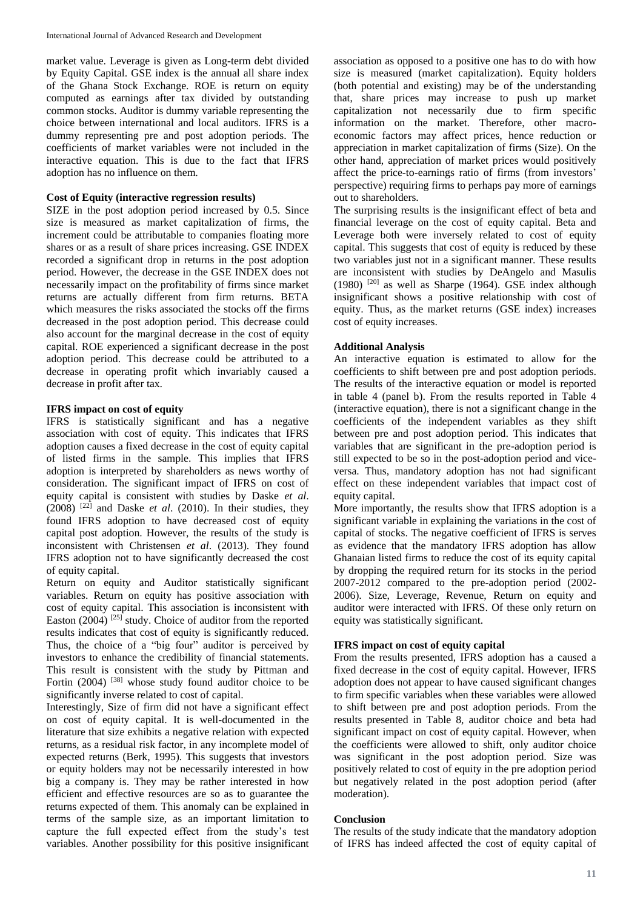market value. Leverage is given as Long-term debt divided by Equity Capital. GSE index is the annual all share index of the Ghana Stock Exchange. ROE is return on equity computed as earnings after tax divided by outstanding common stocks. Auditor is dummy variable representing the choice between international and local auditors. IFRS is a dummy representing pre and post adoption periods. The coefficients of market variables were not included in the interactive equation. This is due to the fact that IFRS adoption has no influence on them.

## **Cost of Equity (interactive regression results)**

SIZE in the post adoption period increased by 0.5. Since size is measured as market capitalization of firms, the increment could be attributable to companies floating more shares or as a result of share prices increasing. GSE INDEX recorded a significant drop in returns in the post adoption period. However, the decrease in the GSE INDEX does not necessarily impact on the profitability of firms since market returns are actually different from firm returns. BETA which measures the risks associated the stocks off the firms decreased in the post adoption period. This decrease could also account for the marginal decrease in the cost of equity capital. ROE experienced a significant decrease in the post adoption period. This decrease could be attributed to a decrease in operating profit which invariably caused a decrease in profit after tax.

#### **IFRS impact on cost of equity**

IFRS is statistically significant and has a negative association with cost of equity. This indicates that IFRS adoption causes a fixed decrease in the cost of equity capital of listed firms in the sample. This implies that IFRS adoption is interpreted by shareholders as news worthy of consideration. The significant impact of IFRS on cost of equity capital is consistent with studies by Daske *et al*.  $(2008)$ <sup>[22]</sup> and Daske *et al.* (2010). In their studies, they found IFRS adoption to have decreased cost of equity capital post adoption. However, the results of the study is inconsistent with Christensen *et al*. (2013). They found IFRS adoption not to have significantly decreased the cost of equity capital.

Return on equity and Auditor statistically significant variables. Return on equity has positive association with cost of equity capital. This association is inconsistent with Easton  $(2004)$  <sup>[25]</sup> study. Choice of auditor from the reported results indicates that cost of equity is significantly reduced. Thus, the choice of a "big four" auditor is perceived by investors to enhance the credibility of financial statements. This result is consistent with the study by Pittman and Fortin  $(2004)$  <sup>[38]</sup> whose study found auditor choice to be significantly inverse related to cost of capital.

Interestingly, Size of firm did not have a significant effect on cost of equity capital. It is well-documented in the literature that size exhibits a negative relation with expected returns, as a residual risk factor, in any incomplete model of expected returns (Berk, 1995). This suggests that investors or equity holders may not be necessarily interested in how big a company is. They may be rather interested in how efficient and effective resources are so as to guarantee the returns expected of them. This anomaly can be explained in terms of the sample size, as an important limitation to capture the full expected effect from the study's test variables. Another possibility for this positive insignificant

association as opposed to a positive one has to do with how size is measured (market capitalization). Equity holders (both potential and existing) may be of the understanding that, share prices may increase to push up market capitalization not necessarily due to firm specific information on the market. Therefore, other macroeconomic factors may affect prices, hence reduction or appreciation in market capitalization of firms (Size). On the other hand, appreciation of market prices would positively affect the price-to-earnings ratio of firms (from investors' perspective) requiring firms to perhaps pay more of earnings out to shareholders.

The surprising results is the insignificant effect of beta and financial leverage on the cost of equity capital. Beta and Leverage both were inversely related to cost of equity capital. This suggests that cost of equity is reduced by these two variables just not in a significant manner. These results are inconsistent with studies by DeAngelo and Masulis  $(1980)$  <sup>[20]</sup> as well as Sharpe (1964). GSE index although insignificant shows a positive relationship with cost of equity. Thus, as the market returns (GSE index) increases cost of equity increases.

#### **Additional Analysis**

An interactive equation is estimated to allow for the coefficients to shift between pre and post adoption periods. The results of the interactive equation or model is reported in table 4 (panel b). From the results reported in Table 4 (interactive equation), there is not a significant change in the coefficients of the independent variables as they shift between pre and post adoption period. This indicates that variables that are significant in the pre-adoption period is still expected to be so in the post-adoption period and viceversa. Thus, mandatory adoption has not had significant effect on these independent variables that impact cost of equity capital.

More importantly, the results show that IFRS adoption is a significant variable in explaining the variations in the cost of capital of stocks. The negative coefficient of IFRS is serves as evidence that the mandatory IFRS adoption has allow Ghanaian listed firms to reduce the cost of its equity capital by dropping the required return for its stocks in the period 2007-2012 compared to the pre-adoption period (2002- 2006). Size, Leverage, Revenue, Return on equity and auditor were interacted with IFRS. Of these only return on equity was statistically significant.

#### **IFRS impact on cost of equity capital**

From the results presented, IFRS adoption has a caused a fixed decrease in the cost of equity capital. However, IFRS adoption does not appear to have caused significant changes to firm specific variables when these variables were allowed to shift between pre and post adoption periods. From the results presented in Table 8, auditor choice and beta had significant impact on cost of equity capital. However, when the coefficients were allowed to shift, only auditor choice was significant in the post adoption period. Size was positively related to cost of equity in the pre adoption period but negatively related in the post adoption period (after moderation).

#### **Conclusion**

The results of the study indicate that the mandatory adoption of IFRS has indeed affected the cost of equity capital of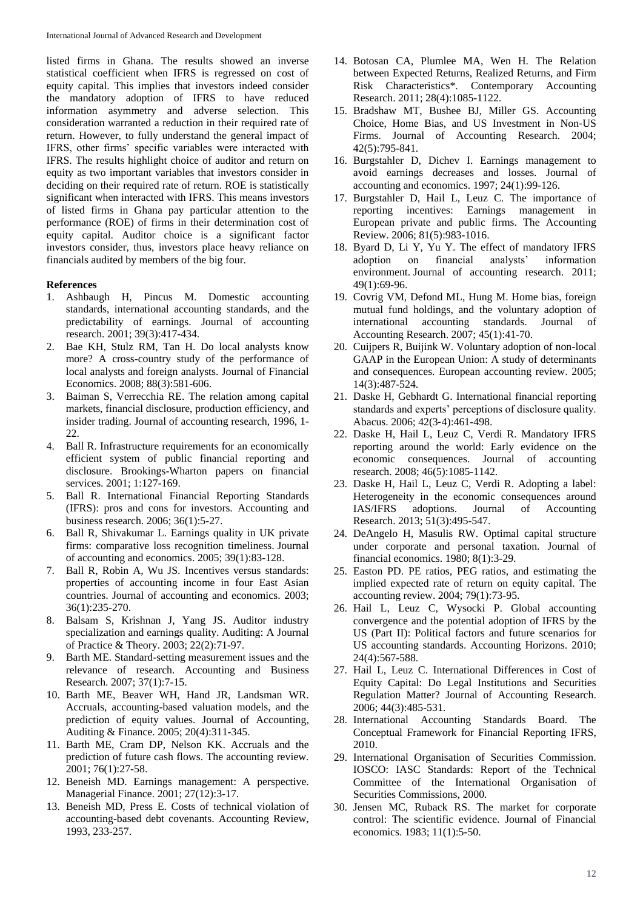listed firms in Ghana. The results showed an inverse statistical coefficient when IFRS is regressed on cost of equity capital. This implies that investors indeed consider the mandatory adoption of IFRS to have reduced information asymmetry and adverse selection. This consideration warranted a reduction in their required rate of return. However, to fully understand the general impact of IFRS, other firms' specific variables were interacted with IFRS. The results highlight choice of auditor and return on equity as two important variables that investors consider in deciding on their required rate of return. ROE is statistically significant when interacted with IFRS. This means investors of listed firms in Ghana pay particular attention to the performance (ROE) of firms in their determination cost of equity capital. Auditor choice is a significant factor investors consider, thus, investors place heavy reliance on financials audited by members of the big four.

#### **References**

- 1. Ashbaugh H, Pincus M. Domestic accounting standards, international accounting standards, and the predictability of earnings. Journal of accounting research. 2001; 39(3):417-434.
- 2. Bae KH, Stulz RM, Tan H. Do local analysts know more? A cross-country study of the performance of local analysts and foreign analysts. Journal of Financial Economics. 2008; 88(3):581-606.
- 3. Baiman S, Verrecchia RE. The relation among capital markets, financial disclosure, production efficiency, and insider trading. Journal of accounting research, 1996, 1- 22.
- 4. Ball R. Infrastructure requirements for an economically efficient system of public financial reporting and disclosure. Brookings-Wharton papers on financial services. 2001; 1:127-169.
- 5. Ball R. International Financial Reporting Standards (IFRS): pros and cons for investors. Accounting and business research. 2006; 36(1):5-27.
- 6. Ball R, Shivakumar L. Earnings quality in UK private firms: comparative loss recognition timeliness. Journal of accounting and economics. 2005; 39(1):83-128.
- 7. Ball R, Robin A, Wu JS. Incentives versus standards: properties of accounting income in four East Asian countries. Journal of accounting and economics. 2003; 36(1):235-270.
- 8. Balsam S, Krishnan J, Yang JS. Auditor industry specialization and earnings quality. Auditing: A Journal of Practice & Theory. 2003; 22(2):71-97.
- 9. Barth ME. Standard-setting measurement issues and the relevance of research. Accounting and Business Research. 2007; 37(1):7-15.
- 10. Barth ME, Beaver WH, Hand JR, Landsman WR. Accruals, accounting-based valuation models, and the prediction of equity values. Journal of Accounting, Auditing & Finance. 2005; 20(4):311-345.
- 11. Barth ME, Cram DP, Nelson KK. Accruals and the prediction of future cash flows. The accounting review. 2001; 76(1):27-58.
- 12. Beneish MD. Earnings management: A perspective. Managerial Finance. 2001; 27(12):3-17.
- 13. Beneish MD, Press E. Costs of technical violation of accounting-based debt covenants. Accounting Review, 1993, 233-257.
- 14. Botosan CA, Plumlee MA, Wen H. The Relation between Expected Returns, Realized Returns, and Firm Risk Characteristics\*. Contemporary Accounting Research. 2011; 28(4):1085-1122.
- 15. Bradshaw MT, Bushee BJ, Miller GS. Accounting Choice, Home Bias, and US Investment in Non‐US Firms. Journal of Accounting Research. 2004; 42(5):795-841.
- 16. Burgstahler D, Dichev I. Earnings management to avoid earnings decreases and losses. Journal of accounting and economics. 1997; 24(1):99-126.
- 17. Burgstahler D, Hail L, Leuz C. The importance of reporting incentives: Earnings management in European private and public firms. The Accounting Review. 2006; 81(5):983-1016.
- 18. Byard D, Li Y, Yu Y. The effect of mandatory IFRS adoption on financial analysts' information environment. Journal of accounting research. 2011; 49(1):69-96.
- 19. Covrig VM, Defond ML, Hung M. Home bias, foreign mutual fund holdings, and the voluntary adoption of international accounting standards. Journal of Accounting Research. 2007; 45(1):41-70.
- 20. Cuijpers R, Buijink W. Voluntary adoption of non-local GAAP in the European Union: A study of determinants and consequences. European accounting review. 2005; 14(3):487-524.
- 21. Daske H, Gebhardt G. International financial reporting standards and experts' perceptions of disclosure quality. Abacus. 2006; 42(3‐4):461-498.
- 22. Daske H, Hail L, Leuz C, Verdi R. Mandatory IFRS reporting around the world: Early evidence on the economic consequences. Journal of accounting research. 2008; 46(5):1085-1142.
- 23. Daske H, Hail L, Leuz C, Verdi R. Adopting a label: Heterogeneity in the economic consequences around IAS/IFRS adoptions. Journal of Accounting Research. 2013; 51(3):495-547.
- 24. DeAngelo H, Masulis RW. Optimal capital structure under corporate and personal taxation. Journal of financial economics. 1980; 8(1):3-29.
- 25. Easton PD. PE ratios, PEG ratios, and estimating the implied expected rate of return on equity capital. The accounting review. 2004; 79(1):73-95.
- 26. Hail L, Leuz C, Wysocki P. Global accounting convergence and the potential adoption of IFRS by the US (Part II): Political factors and future scenarios for US accounting standards. Accounting Horizons. 2010; 24(4):567-588.
- 27. Hail L, Leuz C. International Differences in Cost of Equity Capital: Do Legal Institutions and Securities Regulation Matter? Journal of Accounting Research. 2006; 44(3):485-531.
- 28. International Accounting Standards Board. The Conceptual Framework for Financial Reporting IFRS, 2010.
- 29. International Organisation of Securities Commission. IOSCO: IASC Standards: Report of the Technical Committee of the International Organisation of Securities Commissions, 2000.
- 30. Jensen MC, Ruback RS. The market for corporate control: The scientific evidence. Journal of Financial economics. 1983; 11(1):5-50.